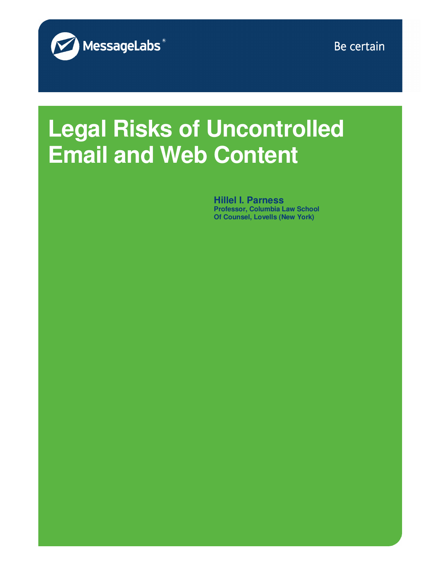

Be certain

# **Legal Risks of Uncontrolled Email and Web Content**

**Hillel I. Parness Professor, Columbia Law School Of Counsel, Lovells (New York)**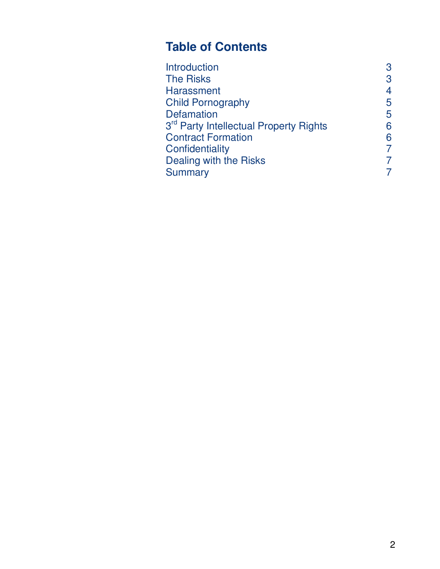## **Table of Contents**

| <b>Introduction</b>                                | 3              |
|----------------------------------------------------|----------------|
| <b>The Risks</b>                                   | 3              |
| <b>Harassment</b>                                  | 4              |
| <b>Child Pornography</b>                           | 5              |
| <b>Defamation</b>                                  | 5              |
| 3 <sup>rd</sup> Party Intellectual Property Rights | 6              |
| <b>Contract Formation</b>                          | 6              |
| Confidentiality                                    | $\overline{7}$ |
| Dealing with the Risks                             | 7              |
| <b>Summary</b>                                     | 7              |
|                                                    |                |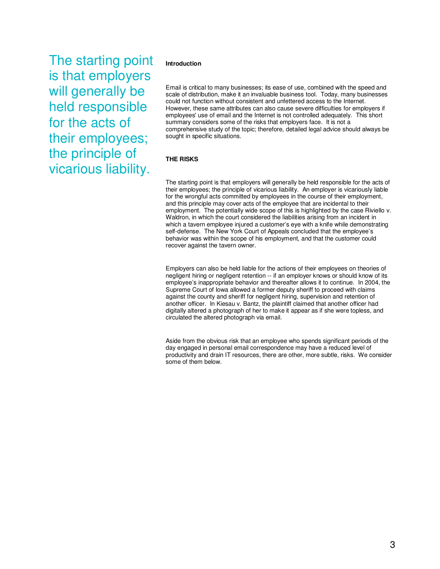The starting point is that employers will generally be held responsible for the acts of their employees; the principle of vicarious liability.

#### **Introduction**

Email is critical to many businesses; its ease of use, combined with the speed and scale of distribution, make it an invaluable business tool. Today, many businesses could not function without consistent and unfettered access to the Internet. However, these same attributes can also cause severe difficulties for employers if employees' use of email and the Internet is not controlled adequately. This short summary considers some of the risks that employers face. It is not a comprehensive study of the topic; therefore, detailed legal advice should always be sought in specific situations.

#### **THE RISKS**

The starting point is that employers will generally be held responsible for the acts of their employees; the principle of vicarious liability. An employer is vicariously liable for the wrongful acts committed by employees in the course of their employment, and this principle may cover acts of the employee that are incidental to their employment. The potentially wide scope of this is highlighted by the case Riviello v. Waldron, in which the court considered the liabilities arising from an incident in which a tavern employee injured a customer's eye with a knife while demonstrating self-defense. The New York Court of Appeals concluded that the employee's behavior was within the scope of his employment, and that the customer could recover against the tavern owner.

Employers can also be held liable for the actions of their employees on theories of negligent hiring or negligent retention -- if an employer knows or should know of its employee's inappropriate behavior and thereafter allows it to continue. In 2004, the Supreme Court of Iowa allowed a former deputy sheriff to proceed with claims against the county and sheriff for negligent hiring, supervision and retention of another officer. In Kiesau v. Bantz, the plaintiff claimed that another officer had digitally altered a photograph of her to make it appear as if she were topless, and circulated the altered photograph via email.

Aside from the obvious risk that an employee who spends significant periods of the day engaged in personal email correspondence may have a reduced level of productivity and drain IT resources, there are other, more subtle, risks. We consider some of them below.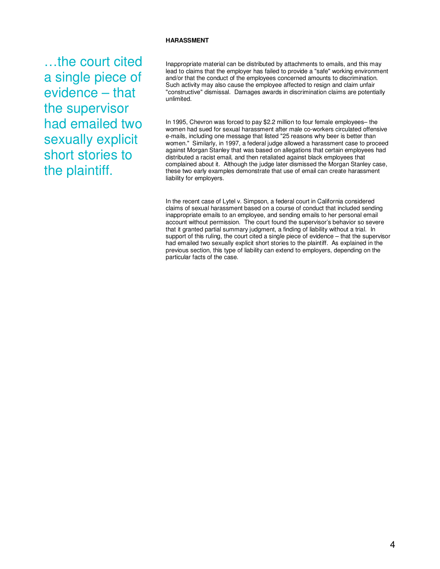#### **HARASSMENT**

…the court cited a single piece of evidence – that the supervisor had emailed two sexually explicit short stories to the plaintiff.

Inappropriate material can be distributed by attachments to emails, and this may lead to claims that the employer has failed to provide a "safe" working environment and/or that the conduct of the employees concerned amounts to discrimination. Such activity may also cause the employee affected to resign and claim unfair "constructive" dismissal. Damages awards in discrimination claims are potentially unlimited.

In 1995, Chevron was forced to pay \$2.2 million to four female employees– the women had sued for sexual harassment after male co-workers circulated offensive e-mails, including one message that listed "25 reasons why beer is better than women." Similarly, in 1997, a federal judge allowed a harassment case to proceed against Morgan Stanley that was based on allegations that certain employees had distributed a racist email, and then retaliated against black employees that complained about it. Although the judge later dismissed the Morgan Stanley case, these two early examples demonstrate that use of email can create harassment liability for employers.

In the recent case of Lytel v. Simpson, a federal court in California considered claims of sexual harassment based on a course of conduct that included sending inappropriate emails to an employee, and sending emails to her personal email account without permission. The court found the supervisor's behavior so severe that it granted partial summary judgment, a finding of liability without a trial. In support of this ruling, the court cited a single piece of evidence – that the supervisor had emailed two sexually explicit short stories to the plaintiff. As explained in the previous section, this type of liability can extend to employers, depending on the particular facts of the case.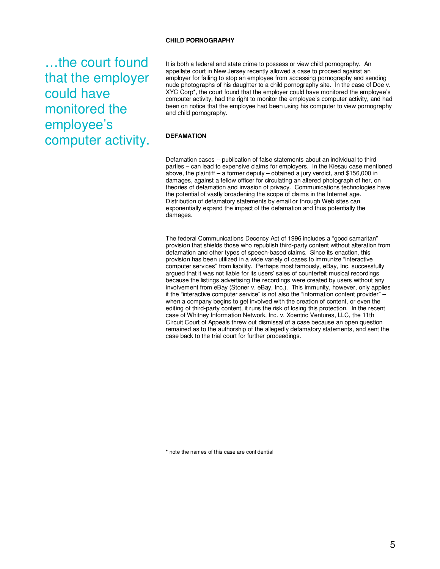#### **CHILD PORNOGRAPHY**

…the court found that the employer could have monitored the employee's computer activity.

It is both a federal and state crime to possess or view child pornography. An appellate court in New Jersey recently allowed a case to proceed against an employer for failing to stop an employee from accessing pornography and sending nude photographs of his daughter to a child pornography site. In the case of Doe v. XYC Corp\*, the court found that the employer could have monitored the employee's computer activity, had the right to monitor the employee's computer activity, and had been on notice that the employee had been using his computer to view pornography and child pornography.

#### **DEFAMATION**

Defamation cases -- publication of false statements about an individual to third parties – can lead to expensive claims for employers. In the Kiesau case mentioned above, the plaintiff – a former deputy – obtained a jury verdict, and \$156,000 in damages, against a fellow officer for circulating an altered photograph of her, on theories of defamation and invasion of privacy. Communications technologies have the potential of vastly broadening the scope of claims in the Internet age. Distribution of defamatory statements by email or through Web sites can exponentially expand the impact of the defamation and thus potentially the damages.

The federal Communications Decency Act of 1996 includes a "good samaritan" provision that shields those who republish third-party content without alteration from defamation and other types of speech-based claims. Since its enaction, this provision has been utilized in a wide variety of cases to immunize "interactive computer services" from liability. Perhaps most famously, eBay, Inc. successfully argued that it was not liable for its users' sales of counterfeit musical recordings because the listings advertising the recordings were created by users without any involvement from eBay (Stoner v. eBay, Inc.). This immunity, however, only applies if the "interactive computer service" is not also the "information content provider" when a company begins to get involved with the creation of content, or even the editing of third-party content, it runs the risk of losing this protection. In the recent case of Whitney Information Network, Inc. v. Xcentric Ventures, LLC, the 11th Circuit Court of Appeals threw out dismissal of a case because an open question remained as to the authorship of the allegedly defamatory statements, and sent the case back to the trial court for further proceedings.

\* note the names of this case are confidential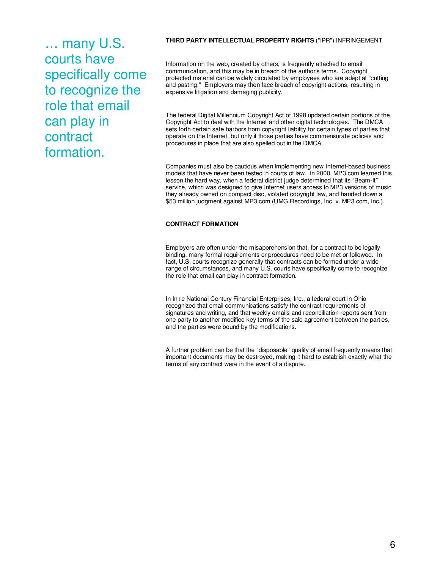… many U.S. courts have specifically come to recognize the role that email can play in contract formation.

#### **THIRD PARTY INTELLECTUAL PROPERTY RIGHTS** ("IPR") INFRINGEMENT

Information on the web, created by others, is frequently attached to email communication, and this may be in breach of the author's terms. Copyright protected material can be widely circulated by employees who are adept at "cutting and pasting." Employers may then face breach of copyright actions, resulting in expensive litigation and damaging publicity.

The federal Digital Millennium Copyright Act of 1998 updated certain portions of the Copyright Act to deal with the Internet and other digital technologies. The DMCA sets forth certain safe harbors from copyright liability for certain types of parties that operate on the Internet, but only if those parties have commensurate policies and procedures in place that are also spelled out in the DMCA.

Companies must also be cautious when implementing new Internet-based business models that have never been tested in courts of law. In 2000, MP3.com learned this lesson the hard way, when a federal district judge determined that its "Beam-It" service, which was designed to give Internet users access to MP3 versions of music they already owned on compact disc, violated copyright law, and handed down a \$53 million judgment against MP3.com (UMG Recordings, Inc. v. MP3.com, Inc.).

#### **CONTRACT FORMATION**

Employers are often under the misapprehension that, for a contract to be legally binding, many formal requirements or procedures need to be met or followed. In fact, U.S. courts recognize generally that contracts can be formed under a wide range of circumstances, and many U.S. courts have specifically come to recognize the role that email can play in contract formation.

In In re National Century Financial Enterprises, Inc., a federal court in Ohio recognized that email communications satisfy the contract requirements of signatures and writing, and that weekly emails and reconciliation reports sent from one party to another modified key terms of the sale agreement between the parties, and the parties were bound by the modifications.

A further problem can be that the "disposable" quality of email frequently means that important documents may be destroyed, making it hard to establish exactly what the terms of any contract were in the event of a dispute.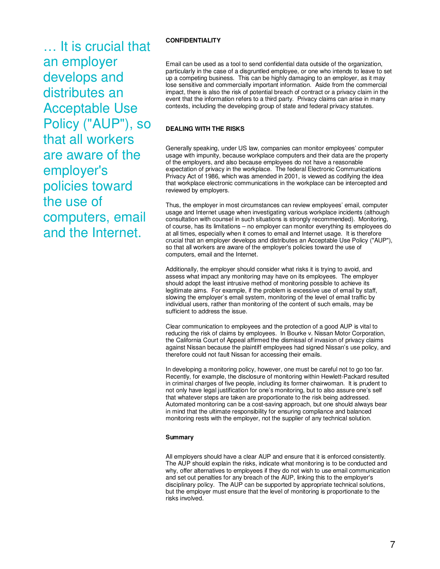… It is crucial that an employer develops and distributes an Acceptable Use Policy ("AUP"), so that all workers are aware of the employer's policies toward the use of computers, email and the Internet.

#### **CONFIDENTIALITY**

Email can be used as a tool to send confidential data outside of the organization, particularly in the case of a disgruntled employee, or one who intends to leave to set up a competing business. This can be highly damaging to an employer, as it may lose sensitive and commercially important information. Aside from the commercial impact, there is also the risk of potential breach of contract or a privacy claim in the event that the information refers to a third party. Privacy claims can arise in many contexts, including the developing group of state and federal privacy statutes.

#### **DEALING WITH THE RISKS**

Generally speaking, under US law, companies can monitor employees' computer usage with impunity, because workplace computers and their data are the property of the employers, and also because employees do not have a reasonable expectation of privacy in the workplace. The federal Electronic Communications Privacy Act of 1986, which was amended in 2001, is viewed as codifying the idea that workplace electronic communications in the workplace can be intercepted and reviewed by employers.

Thus, the employer in most circumstances can review employees' email, computer usage and Internet usage when investigating various workplace incidents (although consultation with counsel in such situations is strongly recommended). Monitoring, of course, has its limitations – no employer can monitor everything its employees do at all times, especially when it comes to email and Internet usage. It is therefore crucial that an employer develops and distributes an Acceptable Use Policy ("AUP"), so that all workers are aware of the employer's policies toward the use of computers, email and the Internet.

Additionally, the employer should consider what risks it is trying to avoid, and assess what impact any monitoring may have on its employees. The employer should adopt the least intrusive method of monitoring possible to achieve its legitimate aims. For example, if the problem is excessive use of email by staff, slowing the employer's email system, monitoring of the level of email traffic by individual users, rather than monitoring of the content of such emails, may be sufficient to address the issue.

Clear communication to employees and the protection of a good AUP is vital to reducing the risk of claims by employees. In Bourke v. Nissan Motor Corporation, the California Court of Appeal affirmed the dismissal of invasion of privacy claims against Nissan because the plaintiff employees had signed Nissan's use policy, and therefore could not fault Nissan for accessing their emails.

In developing a monitoring policy, however, one must be careful not to go too far. Recently, for example, the disclosure of monitoring within Hewlett-Packard resulted in criminal charges of five people, including its former chairwoman. It is prudent to not only have legal justification for one's monitoring, but to also assure one's self that whatever steps are taken are proportionate to the risk being addressed. Automated monitoring can be a cost-saving approach, but one should always bear in mind that the ultimate responsibility for ensuring compliance and balanced monitoring rests with the employer, not the supplier of any technical solution.

#### **Summary**

All employers should have a clear AUP and ensure that it is enforced consistently. The AUP should explain the risks, indicate what monitoring is to be conducted and why, offer alternatives to employees if they do not wish to use email communication and set out penalties for any breach of the AUP, linking this to the employer's disciplinary policy. The AUP can be supported by appropriate technical solutions, but the employer must ensure that the level of monitoring is proportionate to the risks involved.